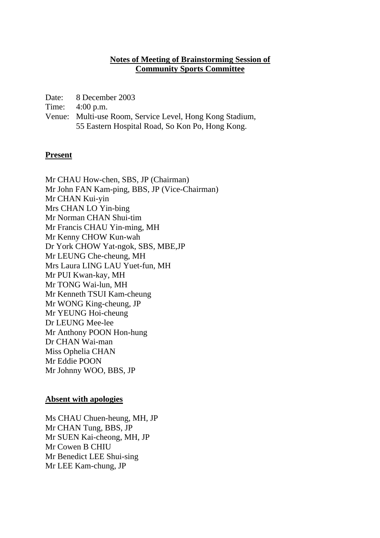### **Notes of Meeting of Brainstorming Session of Community Sports Committee**

Date: 8 December 2003

Time: 4:00 p.m.

Venue: Multi-use Room, Service Level, Hong Kong Stadium, 55 Eastern Hospital Road, So Kon Po, Hong Kong.

### **Present**

Mr CHAU How-chen, SBS, JP (Chairman) Mr John FAN Kam-ping, BBS, JP (Vice-Chairman) Mr CHAN Kui-yin Mrs CHAN LO Yin-bing Mr Norman CHAN Shui-tim Mr Francis CHAU Yin-ming, MH Mr Kenny CHOW Kun-wah Dr York CHOW Yat-ngok, SBS, MBE,JP Mr LEUNG Che-cheung, MH Mrs Laura LING LAU Yuet-fun, MH Mr PUI Kwan-kay, MH Mr TONG Wai-lun, MH Mr Kenneth TSUI Kam-cheung Mr WONG King-cheung, JP Mr YEUNG Hoi-cheung Dr LEUNG Mee-lee Mr Anthony POON Hon-hung Dr CHAN Wai-man Miss Ophelia CHAN Mr Eddie POON Mr Johnny WOO, BBS, JP

### **Absent with apologies**

Ms CHAU Chuen-heung, MH, JP Mr CHAN Tung, BBS, JP Mr SUEN Kai-cheong, MH, JP Mr Cowen B CHIU Mr Benedict LEE Shui-sing Mr LEE Kam-chung, JP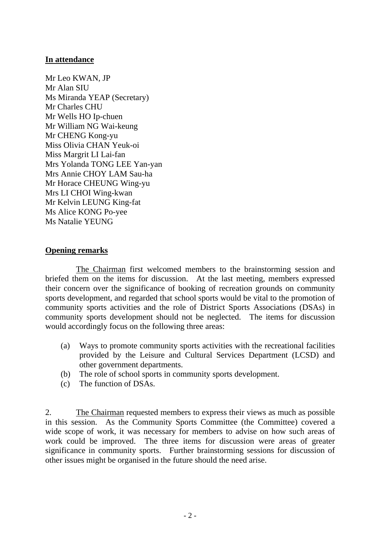## **In attendance**

Mr Leo KWAN, JP Mr Alan SIU Ms Miranda YEAP (Secretary) Mr Charles CHU Mr Wells HO Ip-chuen Mr William NG Wai-keung Mr CHENG Kong-yu Miss Olivia CHAN Yeuk-oi Miss Margrit LI Lai-fan Mrs Yolanda TONG LEE Yan-yan Mrs Annie CHOY LAM Sau-ha Mr Horace CHEUNG Wing-yu Mrs LI CHOI Wing-kwan Mr Kelvin LEUNG King-fat Ms Alice KONG Po-yee Ms Natalie YEUNG

## **Opening remarks**

 The Chairman first welcomed members to the brainstorming session and briefed them on the items for discussion. At the last meeting, members expressed their concern over the significance of booking of recreation grounds on community sports development, and regarded that school sports would be vital to the promotion of community sports activities and the role of District Sports Associations (DSAs) in community sports development should not be neglected. The items for discussion would accordingly focus on the following three areas:

- (a) Ways to promote community sports activities with the recreational facilities provided by the Leisure and Cultural Services Department (LCSD) and other government departments.
- (b) The role of school sports in community sports development.
- (c) The function of DSAs.

2. The Chairman requested members to express their views as much as possible in this session. As the Community Sports Committee (the Committee) covered a wide scope of work, it was necessary for members to advise on how such areas of work could be improved. The three items for discussion were areas of greater significance in community sports. Further brainstorming sessions for discussion of other issues might be organised in the future should the need arise.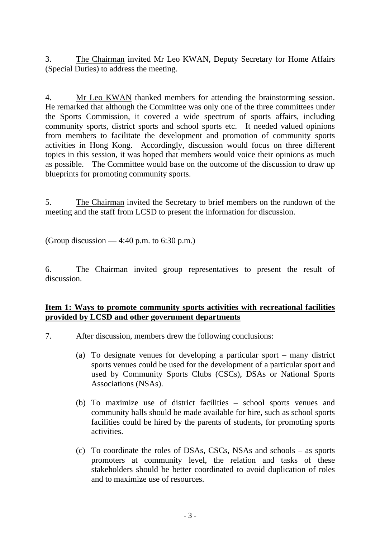3. The Chairman invited Mr Leo KWAN, Deputy Secretary for Home Affairs (Special Duties) to address the meeting.

4. Mr Leo KWAN thanked members for attending the brainstorming session. He remarked that although the Committee was only one of the three committees under the Sports Commission, it covered a wide spectrum of sports affairs, including community sports, district sports and school sports etc. It needed valued opinions from members to facilitate the development and promotion of community sports activities in Hong Kong. Accordingly, discussion would focus on three different topics in this session, it was hoped that members would voice their opinions as much as possible. The Committee would base on the outcome of the discussion to draw up blueprints for promoting community sports.

5. The Chairman invited the Secretary to brief members on the rundown of the meeting and the staff from LCSD to present the information for discussion.

(Group discussion — 4:40 p.m. to 6:30 p.m.)

6. The Chairman invited group representatives to present the result of discussion.

# **Item 1: Ways to promote community sports activities with recreational facilities provided by LCSD and other government departments**

- 7. After discussion, members drew the following conclusions:
	- (a) To designate venues for developing a particular sport many district sports venues could be used for the development of a particular sport and used by Community Sports Clubs (CSCs), DSAs or National Sports Associations (NSAs).
	- (b) To maximize use of district facilities school sports venues and community halls should be made available for hire, such as school sports facilities could be hired by the parents of students, for promoting sports activities.
	- (c) To coordinate the roles of DSAs, CSCs, NSAs and schools as sports promoters at community level, the relation and tasks of these stakeholders should be better coordinated to avoid duplication of roles and to maximize use of resources.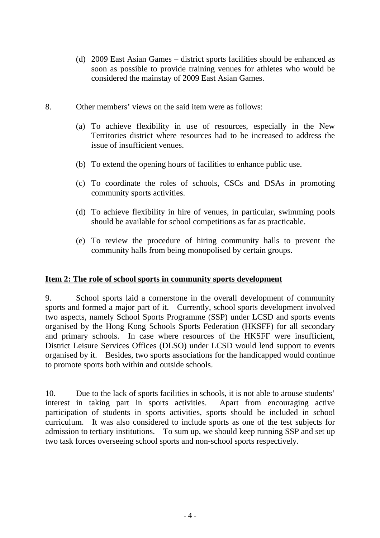- (d) 2009 East Asian Games district sports facilities should be enhanced as soon as possible to provide training venues for athletes who would be considered the mainstay of 2009 East Asian Games.
- 8. Other members' views on the said item were as follows:
	- (a) To achieve flexibility in use of resources, especially in the New Territories district where resources had to be increased to address the issue of insufficient venues.
	- (b) To extend the opening hours of facilities to enhance public use.
	- (c) To coordinate the roles of schools, CSCs and DSAs in promoting community sports activities.
	- (d) To achieve flexibility in hire of venues, in particular, swimming pools should be available for school competitions as far as practicable.
	- (e) To review the procedure of hiring community halls to prevent the community halls from being monopolised by certain groups.

# **Item 2: The role of school sports in community sports development**

9. School sports laid a cornerstone in the overall development of community sports and formed a major part of it. Currently, school sports development involved two aspects, namely School Sports Programme (SSP) under LCSD and sports events organised by the Hong Kong Schools Sports Federation (HKSFF) for all secondary and primary schools. In case where resources of the HKSFF were insufficient, District Leisure Services Offices (DLSO) under LCSD would lend support to events organised by it. Besides, two sports associations for the handicapped would continue to promote sports both within and outside schools.

10. Due to the lack of sports facilities in schools, it is not able to arouse students' interest in taking part in sports activities. Apart from encouraging active participation of students in sports activities, sports should be included in school curriculum. It was also considered to include sports as one of the test subjects for admission to tertiary institutions. To sum up, we should keep running SSP and set up two task forces overseeing school sports and non-school sports respectively.